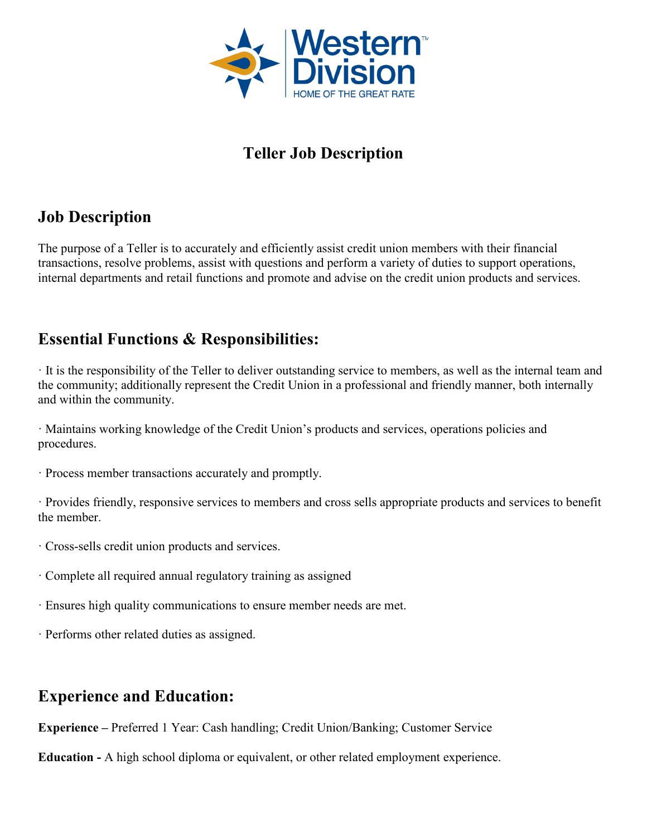

# **Teller Job Description**

# **Job Description**

The purpose of a Teller is to accurately and efficiently assist credit union members with their financial transactions, resolve problems, assist with questions and perform a variety of duties to support operations, internal departments and retail functions and promote and advise on the credit union products and services.

## **Essential Functions & Responsibilities:**

· It is the responsibility of the Teller to deliver outstanding service to members, as well as the internal team and the community; additionally represent the Credit Union in a professional and friendly manner, both internally and within the community.

· Maintains working knowledge of the Credit Union's products and services, operations policies and procedures.

· Process member transactions accurately and promptly.

· Provides friendly, responsive services to members and cross sells appropriate products and services to benefit the member.

- · Cross-sells credit union products and services.
- · Complete all required annual regulatory training as assigned
- · Ensures high quality communications to ensure member needs are met.
- · Performs other related duties as assigned.

### **Experience and Education:**

**Experience –** Preferred 1 Year: Cash handling; Credit Union/Banking; Customer Service

**Education -** A high school diploma or equivalent, or other related employment experience.